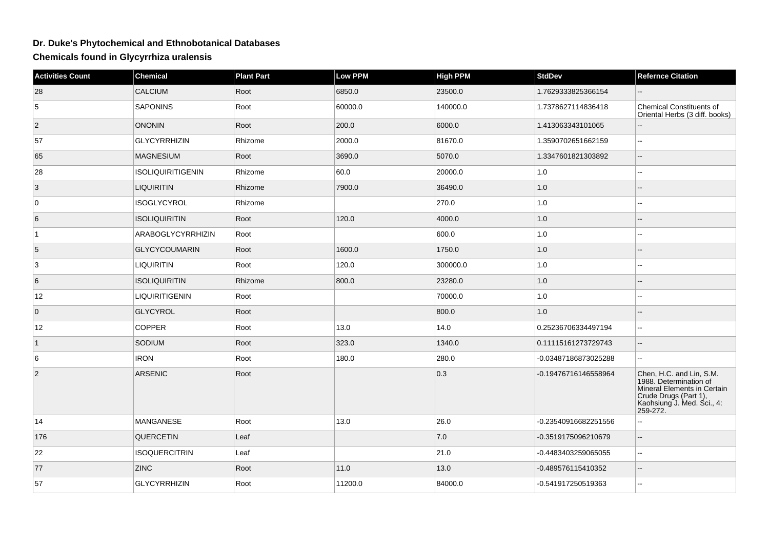## **Dr. Duke's Phytochemical and Ethnobotanical Databases**

**Chemicals found in Glycyrrhiza uralensis**

| <b>Activities Count</b> | <b>Chemical</b>          | <b>Plant Part</b> | <b>Low PPM</b> | <b>High PPM</b> | <b>StdDev</b>        | <b>Refernce Citation</b>                                                                                                                             |
|-------------------------|--------------------------|-------------------|----------------|-----------------|----------------------|------------------------------------------------------------------------------------------------------------------------------------------------------|
| 28                      | CALCIUM                  | Root              | 6850.0         | 23500.0         | 1.7629333825366154   |                                                                                                                                                      |
| 5                       | <b>SAPONINS</b>          | Root              | 60000.0        | 140000.0        | 1.7378627114836418   | Chemical Constituents of<br>Oriental Herbs (3 diff. books)                                                                                           |
| $\overline{2}$          | <b>ONONIN</b>            | Root              | 200.0          | 6000.0          | 1.413063343101065    |                                                                                                                                                      |
| 57                      | <b>GLYCYRRHIZIN</b>      | Rhizome           | 2000.0         | 81670.0         | 1.3590702651662159   | $\mathbf{u}$                                                                                                                                         |
| 65                      | MAGNESIUM                | Root              | 3690.0         | 5070.0          | 1.3347601821303892   | $\overline{a}$                                                                                                                                       |
| 28                      | <b>ISOLIQUIRITIGENIN</b> | Rhizome           | 60.0           | 20000.0         | 1.0                  |                                                                                                                                                      |
| 3                       | <b>LIQUIRITIN</b>        | Rhizome           | 7900.0         | 36490.0         | 1.0                  |                                                                                                                                                      |
| 0                       | <b>ISOGLYCYROL</b>       | Rhizome           |                | 270.0           | $1.0\,$              | $\overline{a}$                                                                                                                                       |
| 6                       | <b>ISOLIQUIRITIN</b>     | Root              | 120.0          | 4000.0          | 1.0                  |                                                                                                                                                      |
| $\vert$ 1               | ARABOGLYCYRRHIZIN        | Root              |                | 600.0           | 1.0                  |                                                                                                                                                      |
| 5                       | <b>GLYCYCOUMARIN</b>     | Root              | 1600.0         | 1750.0          | 1.0                  |                                                                                                                                                      |
| 3                       | <b>LIQUIRITIN</b>        | Root              | 120.0          | 300000.0        | $1.0$                |                                                                                                                                                      |
| 6                       | <b>ISOLIQUIRITIN</b>     | Rhizome           | 800.0          | 23280.0         | 1.0                  |                                                                                                                                                      |
| 12                      | LIQUIRITIGENIN           | Root              |                | 70000.0         | 1.0                  | Ξ.                                                                                                                                                   |
| $\overline{0}$          | GLYCYROL                 | Root              |                | 800.0           | 1.0                  |                                                                                                                                                      |
| 12                      | <b>COPPER</b>            | Root              | 13.0           | 14.0            | 0.25236706334497194  | $\sim$                                                                                                                                               |
| $\vert$ 1               | SODIUM                   | Root              | 323.0          | 1340.0          | 0.11115161273729743  | $\overline{\phantom{a}}$                                                                                                                             |
| 6                       | <b>IRON</b>              | Root              | 180.0          | 280.0           | -0.03487186873025288 | $\overline{\phantom{a}}$                                                                                                                             |
| $\vert$ 2               | ARSENIC                  | Root              |                | 0.3             | -0.19476716146558964 | Chen, H.C. and Lin, S.M.<br>1988. Determination of<br>Mineral Elements in Certain<br>Crude Drugs (Part 1),<br>Kaohsiung J. Med. Sci., 4:<br>259-272. |
| 14                      | <b>MANGANESE</b>         | Root              | 13.0           | 26.0            | -0.23540916682251556 | ă.                                                                                                                                                   |
| 176                     | <b>QUERCETIN</b>         | Leaf              |                | 7.0             | -0.3519175096210679  |                                                                                                                                                      |
| 22                      | <b>ISOQUERCITRIN</b>     | Leaf              |                | 21.0            | -0.4483403259065055  | $\sim$                                                                                                                                               |
| 77                      | <b>ZINC</b>              | Root              | 11.0           | 13.0            | -0.489576115410352   | $\mathbf{u}$                                                                                                                                         |
| 57                      | <b>GLYCYRRHIZIN</b>      | Root              | 11200.0        | 84000.0         | -0.541917250519363   |                                                                                                                                                      |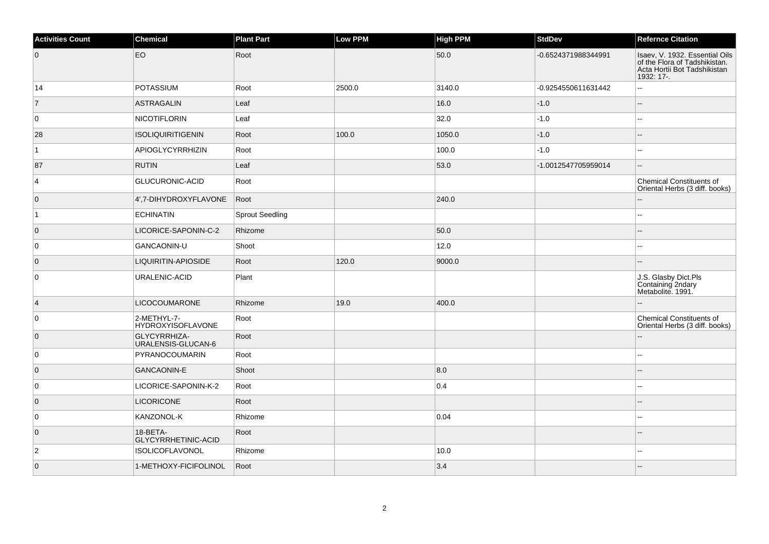| <b>Activities Count</b> | Chemical                                | <b>Plant Part</b>      | Low PPM | <b>High PPM</b> | <b>StdDev</b>       | <b>Refernce Citation</b>                                                                                      |
|-------------------------|-----------------------------------------|------------------------|---------|-----------------|---------------------|---------------------------------------------------------------------------------------------------------------|
| $\overline{0}$          | EO                                      | Root                   |         | 50.0            | -0.6524371988344991 | Isaev, V. 1932. Essential Oils<br>of the Flora of Tadshikistan.<br>Acta Hortii Bot Tadshikistan<br>1932: 17-. |
| 14                      | <b>POTASSIUM</b>                        | Root                   | 2500.0  | 3140.0          | -0.9254550611631442 | Ξ.                                                                                                            |
| $\vert$ 7               | <b>ASTRAGALIN</b>                       | Leaf                   |         | 16.0            | $-1.0$              | $\sim$                                                                                                        |
| 0                       | <b>NICOTIFLORIN</b>                     | Leaf                   |         | 32.0            | $-1.0$              |                                                                                                               |
| 28                      | ISOLIQUIRITIGENIN                       | Root                   | 100.0   | 1050.0          | $-1.0$              |                                                                                                               |
| $\overline{1}$          | <b>APIOGLYCYRRHIZIN</b>                 | Root                   |         | 100.0           | $-1.0$              |                                                                                                               |
| 87                      | <b>RUTIN</b>                            | Leaf                   |         | 53.0            | -1.0012547705959014 | --                                                                                                            |
| $\vert$ 4               | GLUCURONIC-ACID                         | Root                   |         |                 |                     | <b>Chemical Constituents of</b><br>Oriental Herbs (3 diff. books)                                             |
| $\overline{0}$          | 4',7-DIHYDROXYFLAVONE                   | Root                   |         | 240.0           |                     |                                                                                                               |
| $\vert$ 1               | <b>ECHINATIN</b>                        | <b>Sprout Seedling</b> |         |                 |                     |                                                                                                               |
| $\overline{0}$          | LICORICE-SAPONIN-C-2                    | Rhizome                |         | 50.0            |                     |                                                                                                               |
| 0                       | GANCAONIN-U                             | Shoot                  |         | 12.0            |                     | ۵.                                                                                                            |
| $\overline{0}$          | LIQUIRITIN-APIOSIDE                     | Root                   | 120.0   | 9000.0          |                     |                                                                                                               |
| 0                       | URALENIC-ACID                           | Plant                  |         |                 |                     | J.S. Glasby Dict.Pls<br>Containing 2ndary<br>Metabolite. 1991.                                                |
| $\vert$ 4               | <b>LICOCOUMARONE</b>                    | Rhizome                | 19.0    | 400.0           |                     |                                                                                                               |
| 0                       | 2-METHYL-7-<br><b>HYDROXYISOFLAVONE</b> | Root                   |         |                 |                     | <b>Chemical Constituents of</b><br>Oriental Herbs (3 diff. books)                                             |
| $\overline{0}$          | GLYCYRRHIZA-<br>URALENSIS-GLUCAN-6      | Root                   |         |                 |                     |                                                                                                               |
| $\overline{0}$          | PYRANOCOUMARIN                          | Root                   |         |                 |                     | --                                                                                                            |
| $\overline{0}$          | <b>GANCAONIN-E</b>                      | Shoot                  |         | 8.0             |                     |                                                                                                               |
| $\overline{0}$          | LICORICE-SAPONIN-K-2                    | Root                   |         | 0.4             |                     | --                                                                                                            |
| $\overline{0}$          | <b>LICORICONE</b>                       | Root                   |         |                 |                     |                                                                                                               |
| 0                       | KANZONOL-K                              | Rhizome                |         | 0.04            |                     |                                                                                                               |
| $\overline{0}$          | 18-BETA-<br>GLYCYRRHETINIC-ACID         | Root                   |         |                 |                     |                                                                                                               |
| $\overline{2}$          | ISOLICOFLAVONOL                         | Rhizome                |         | 10.0            |                     |                                                                                                               |
| $\overline{0}$          | 1-METHOXY-FICIFOLINOL                   | Root                   |         | 3.4             |                     |                                                                                                               |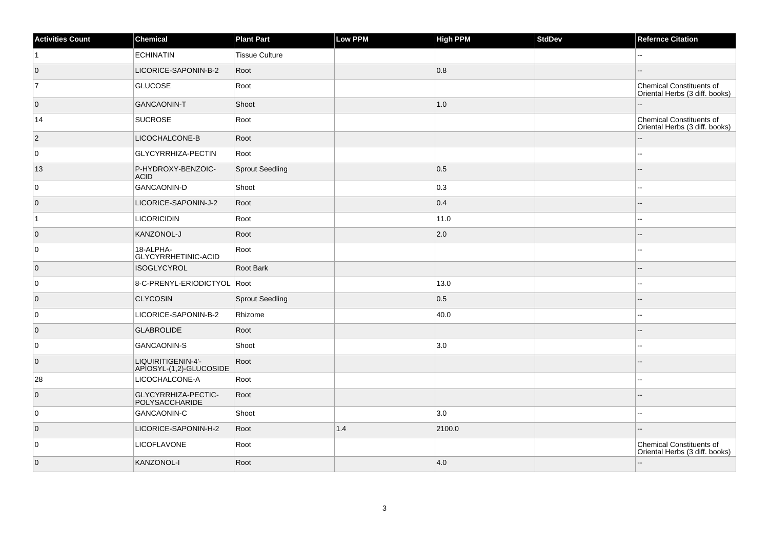| <b>Activities Count</b> | Chemical                                      | <b>Plant Part</b>      | Low PPM | <b>High PPM</b> | <b>StdDev</b> | <b>Refernce Citation</b>                                   |
|-------------------------|-----------------------------------------------|------------------------|---------|-----------------|---------------|------------------------------------------------------------|
| $\vert$ 1               | <b>ECHINATIN</b>                              | <b>Tissue Culture</b>  |         |                 |               |                                                            |
| $\overline{0}$          | LICORICE-SAPONIN-B-2                          | Root                   |         | 0.8             |               |                                                            |
| 7                       | <b>GLUCOSE</b>                                | Root                   |         |                 |               | Chemical Constituents of<br>Oriental Herbs (3 diff. books) |
| $\overline{0}$          | <b>GANCAONIN-T</b>                            | Shoot                  |         | 1.0             |               |                                                            |
| 14                      | <b>SUCROSE</b>                                | Root                   |         |                 |               | Chemical Constituents of<br>Oriental Herbs (3 diff. books) |
| $\vert$ 2               | LICOCHALCONE-B                                | Root                   |         |                 |               |                                                            |
| $\overline{0}$          | GLYCYRRHIZA-PECTIN                            | Root                   |         |                 |               |                                                            |
| 13                      | P-HYDROXY-BENZOIC-<br><b>ACID</b>             | <b>Sprout Seedling</b> |         | 0.5             |               |                                                            |
| $\overline{0}$          | <b>GANCAONIN-D</b>                            | Shoot                  |         | 0.3             |               | --                                                         |
| $\overline{0}$          | LICORICE-SAPONIN-J-2                          | Root                   |         | 0.4             |               | --                                                         |
| $\vert$ 1               | <b>LICORICIDIN</b>                            | Root                   |         | 11.0            |               |                                                            |
| $\overline{0}$          | KANZONOL-J                                    | Root                   |         | 2.0             |               |                                                            |
| 0                       | 18-ALPHA-<br>GLYCYRRHETINIC-ACID              | Root                   |         |                 |               |                                                            |
| $\overline{0}$          | <b>ISOGLYCYROL</b>                            | Root Bark              |         |                 |               | --                                                         |
| 0                       | 8-C-PRENYL-ERIODICTYOL Root                   |                        |         | 13.0            |               |                                                            |
| $\overline{0}$          | <b>CLYCOSIN</b>                               | Sprout Seedling        |         | 0.5             |               |                                                            |
| 0                       | LICORICE-SAPONIN-B-2                          | Rhizome                |         | 40.0            |               |                                                            |
| $\overline{0}$          | <b>GLABROLIDE</b>                             | Root                   |         |                 |               |                                                            |
| $\overline{0}$          | <b>GANCAONIN-S</b>                            | Shoot                  |         | 3.0             |               | --                                                         |
| $\overline{0}$          | LIQUIRITIGENIN-4'-<br>APIOSYL-(1,2)-GLUCOSIDE | Root                   |         |                 |               |                                                            |
| 28                      | LICOCHALCONE-A                                | Root                   |         |                 |               |                                                            |
| $\overline{0}$          | GLYCYRRHIZA-PECTIC-<br>POLYSACCHARIDE         | Root                   |         |                 |               |                                                            |
| $\overline{0}$          | <b>GANCAONIN-C</b>                            | Shoot                  |         | 3.0             |               |                                                            |
| $\overline{0}$          | LICORICE-SAPONIN-H-2                          | Root                   | 1.4     | 2100.0          |               |                                                            |
| $\overline{0}$          | LICOFLAVONE                                   | Root                   |         |                 |               | Chemical Constituents of<br>Oriental Herbs (3 diff. books) |
| $\overline{0}$          | KANZONOL-I                                    | Root                   |         | 4.0             |               | u.                                                         |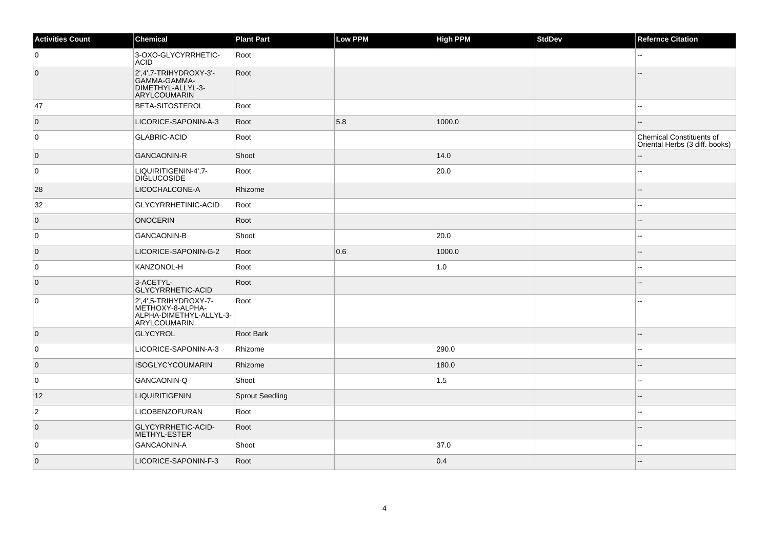| <b>Activities Count</b> | <b>Chemical</b>                                                                             | <b>Plant Part</b> | Low PPM | <b>High PPM</b> | <b>StdDev</b> | <b>Refernce Citation</b>                                          |
|-------------------------|---------------------------------------------------------------------------------------------|-------------------|---------|-----------------|---------------|-------------------------------------------------------------------|
| 0                       | 3-OXO-GLYCYRRHETIC-<br><b>ACID</b>                                                          | Root              |         |                 |               |                                                                   |
| $\overline{0}$          | $2',4',7$ -TRIHYDROXY-3'-<br>GAMMA-GAMMA-<br>DIMETHYL-ALLYL-3-<br>ARYLCOUMARIN              | Root              |         |                 |               |                                                                   |
| 47                      | <b>BETA-SITOSTEROL</b>                                                                      | Root              |         |                 |               |                                                                   |
| $\overline{0}$          | LICORICE-SAPONIN-A-3                                                                        | Root              | 5.8     | 1000.0          |               |                                                                   |
| 0                       | <b>GLABRIC-ACID</b>                                                                         | Root              |         |                 |               | <b>Chemical Constituents of</b><br>Oriental Herbs (3 diff. books) |
| $\overline{0}$          | <b>GANCAONIN-R</b>                                                                          | Shoot             |         | 14.0            |               |                                                                   |
| 0                       | LIQUIRITIGENIN-4',7-<br><b>DIGLUCOSIDE</b>                                                  | Root              |         | 20.0            |               |                                                                   |
| 28                      | LICOCHALCONE-A                                                                              | Rhizome           |         |                 |               |                                                                   |
| 32                      | GLYCYRRHETINIC-ACID                                                                         | Root              |         |                 |               | ц,                                                                |
| $\overline{0}$          | <b>ONOCERIN</b>                                                                             | Root              |         |                 |               |                                                                   |
| 0                       | <b>GANCAONIN-B</b>                                                                          | Shoot             |         | 20.0            |               |                                                                   |
| $\overline{0}$          | LICORICE-SAPONIN-G-2                                                                        | Root              | 0.6     | 1000.0          |               |                                                                   |
| 0                       | KANZONOL-H                                                                                  | Root              |         | 1.0             |               | 4                                                                 |
| $\overline{0}$          | 3-ACETYL-<br>GLYCYRRHETIC-ACID                                                              | Root              |         |                 |               |                                                                   |
| $\mathbf 0$             | 2',4',5-TRIHYDROXY-7-<br>METHOXY-8-ALPHA-<br>ALPHA-DIMETHYL-ALLYL-3-<br><b>ARYLCOUMARIN</b> | Root              |         |                 |               |                                                                   |
| $\overline{0}$          | GLYCYROL                                                                                    | Root Bark         |         |                 |               |                                                                   |
| 0                       | LICORICE-SAPONIN-A-3                                                                        | Rhizome           |         | 290.0           |               |                                                                   |
| $\overline{0}$          | <b>ISOGLYCYCOUMARIN</b>                                                                     | Rhizome           |         | 180.0           |               |                                                                   |
| 0                       | GANCAONIN-Q                                                                                 | Shoot             |         | 1.5             |               |                                                                   |
| 12                      | <b>LIQUIRITIGENIN</b>                                                                       | Sprout Seedling   |         |                 |               |                                                                   |
| $\mathbf 2$             | LICOBENZOFURAN                                                                              | Root              |         |                 |               |                                                                   |
| $\overline{0}$          | GLYCYRRHETIC-ACID-<br>METHYL-ESTER                                                          | Root              |         |                 |               |                                                                   |
| 0                       | <b>GANCAONIN-A</b>                                                                          | Shoot             |         | 37.0            |               |                                                                   |
| $\overline{0}$          | LICORICE-SAPONIN-F-3                                                                        | Root              |         | 0.4             |               |                                                                   |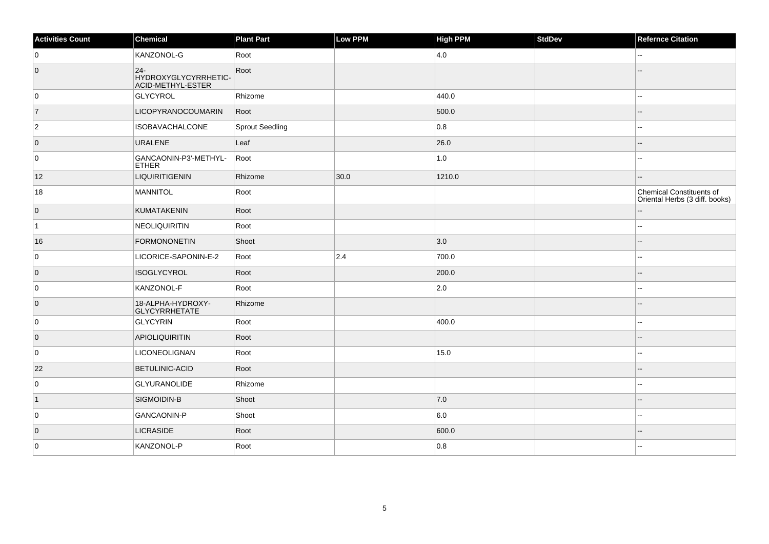| <b>Activities Count</b> | Chemical                                           | <b>Plant Part</b>      | Low PPM | <b>High PPM</b> | StdDev | <b>Refernce Citation</b>                                          |
|-------------------------|----------------------------------------------------|------------------------|---------|-----------------|--------|-------------------------------------------------------------------|
| 0                       | KANZONOL-G                                         | Root                   |         | 4.0             |        | Щ,                                                                |
| $\overline{0}$          | $24-$<br>HYDROXYGLYCYRRHETIC-<br>ACID-METHYL-ESTER | Root                   |         |                 |        |                                                                   |
| 0                       | GLYCYROL                                           | Rhizome                |         | 440.0           |        |                                                                   |
| $\overline{7}$          | <b>LICOPYRANOCOUMARIN</b>                          | Root                   |         | 500.0           |        | --                                                                |
| $\overline{2}$          | <b>ISOBAVACHALCONE</b>                             | <b>Sprout Seedling</b> |         | 0.8             |        |                                                                   |
| $\overline{0}$          | URALENE                                            | Leaf                   |         | 26.0            |        |                                                                   |
| 0                       | GANCAONIN-P3'-METHYL-<br><b>ETHER</b>              | Root                   |         | 1.0             |        | $-1$                                                              |
| 12                      | <b>LIQUIRITIGENIN</b>                              | Rhizome                | 30.0    | 1210.0          |        |                                                                   |
| 18                      | MANNITOL                                           | Root                   |         |                 |        | <b>Chemical Constituents of</b><br>Oriental Herbs (3 diff. books) |
| $\overline{0}$          | KUMATAKENIN                                        | Root                   |         |                 |        |                                                                   |
| $\vert$ 1               | NEOLIQUIRITIN                                      | Root                   |         |                 |        | $\sim$ $\sim$                                                     |
| 16                      | <b>FORMONONETIN</b>                                | Shoot                  |         | 3.0             |        |                                                                   |
| 0                       | LICORICE-SAPONIN-E-2                               | Root                   | 2.4     | 700.0           |        | --                                                                |
| $\overline{0}$          | ISOGLYCYROL                                        | Root                   |         | 200.0           |        |                                                                   |
| 0                       | KANZONOL-F                                         | Root                   |         | $ 2.0\rangle$   |        |                                                                   |
| $\overline{0}$          | 18-ALPHA-HYDROXY-<br>GLYCYRRHETATE                 | Rhizome                |         |                 |        |                                                                   |
| 0                       | GLYCYRIN                                           | Root                   |         | 400.0           |        | --                                                                |
| $\overline{0}$          | <b>APIOLIQUIRITIN</b>                              | Root                   |         |                 |        | $- -$                                                             |
| 0                       | <b>LICONEOLIGNAN</b>                               | Root                   |         | 15.0            |        | $\sim$ $\sim$                                                     |
| 22                      | <b>BETULINIC-ACID</b>                              | Root                   |         |                 |        | --                                                                |
| 0                       | GLYURANOLIDE                                       | Rhizome                |         |                 |        | ۵.                                                                |
| $\vert$ 1               | SIGMOIDIN-B                                        | Shoot                  |         | 7.0             |        | --                                                                |
| 0                       | GANCAONIN-P                                        | Shoot                  |         | 6.0             |        | Ξ.                                                                |
| $\overline{0}$          | <b>LICRASIDE</b>                                   | Root                   |         | 600.0           |        |                                                                   |
| 0                       | KANZONOL-P                                         | Root                   |         | 0.8             |        |                                                                   |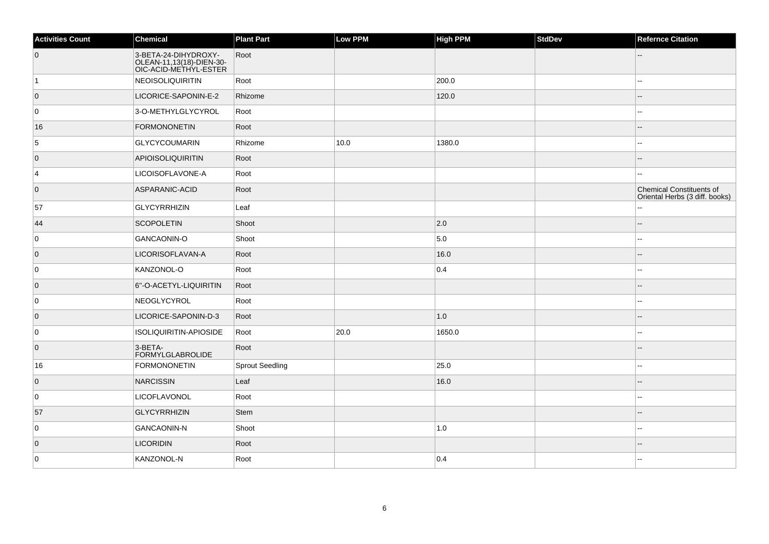| <b>Activities Count</b> | Chemical                                                                  | <b>Plant Part</b>      | Low PPM | <b>High PPM</b> | <b>StdDev</b> | <b>Refernce Citation</b>                                          |
|-------------------------|---------------------------------------------------------------------------|------------------------|---------|-----------------|---------------|-------------------------------------------------------------------|
| $\overline{0}$          | 3-BETA-24-DIHYDROXY-<br>OLEAN-11,13(18)-DIEN-30-<br>OIC-ACID-METHYL-ESTER | Root                   |         |                 |               |                                                                   |
| $\vert$ 1               | NEOISOLIQUIRITIN                                                          | Root                   |         | 200.0           |               |                                                                   |
| $\overline{0}$          | LICORICE-SAPONIN-E-2                                                      | Rhizome                |         | 120.0           |               |                                                                   |
| 0                       | 3-O-METHYLGLYCYROL                                                        | Root                   |         |                 |               | ۵۵                                                                |
| 16                      | FORMONONETIN                                                              | Root                   |         |                 |               |                                                                   |
| 5                       | <b>GLYCYCOUMARIN</b>                                                      | Rhizome                | 10.0    | 1380.0          |               |                                                                   |
| $\overline{0}$          | <b>APIOISOLIQUIRITIN</b>                                                  | Root                   |         |                 |               |                                                                   |
| 4                       | LICOISOFLAVONE-A                                                          | Root                   |         |                 |               |                                                                   |
| $\overline{0}$          | ASPARANIC-ACID                                                            | Root                   |         |                 |               | <b>Chemical Constituents of</b><br>Oriental Herbs (3 diff. books) |
| 57                      | GLYCYRRHIZIN                                                              | Leaf                   |         |                 |               | ă.                                                                |
| 44                      | <b>SCOPOLETIN</b>                                                         | Shoot                  |         | $ 2.0\rangle$   |               |                                                                   |
| 0                       | GANCAONIN-O                                                               | Shoot                  |         | 5.0             |               | --                                                                |
| $\overline{0}$          | LICORISOFLAVAN-A                                                          | Root                   |         | 16.0            |               |                                                                   |
| 0                       | KANZONOL-O                                                                | Root                   |         | 0.4             |               |                                                                   |
| $\overline{0}$          | 6"-O-ACETYL-LIQUIRITIN                                                    | Root                   |         |                 |               |                                                                   |
| 0                       | NEOGLYCYROL                                                               | Root                   |         |                 |               |                                                                   |
| $\overline{0}$          | LICORICE-SAPONIN-D-3                                                      | Root                   |         | 1.0             |               |                                                                   |
| 0                       | ISOLIQUIRITIN-APIOSIDE                                                    | Root                   | 20.0    | 1650.0          |               | ÷.                                                                |
| $\overline{0}$          | 3-BETA-<br>FORMYLGLABROLIDE                                               | Root                   |         |                 |               | --                                                                |
| 16                      | <b>FORMONONETIN</b>                                                       | <b>Sprout Seedling</b> |         | 25.0            |               |                                                                   |
| $\overline{0}$          | NARCISSIN                                                                 | Leaf                   |         | 16.0            |               |                                                                   |
| 0                       | LICOFLAVONOL                                                              | Root                   |         |                 |               |                                                                   |
| 57                      | <b>GLYCYRRHIZIN</b>                                                       | Stem                   |         |                 |               |                                                                   |
| 0                       | GANCAONIN-N                                                               | Shoot                  |         | 1.0             |               | ÷.                                                                |
| $\overline{0}$          | <b>LICORIDIN</b>                                                          | Root                   |         |                 |               |                                                                   |
| 0                       | KANZONOL-N                                                                | Root                   |         | 0.4             |               |                                                                   |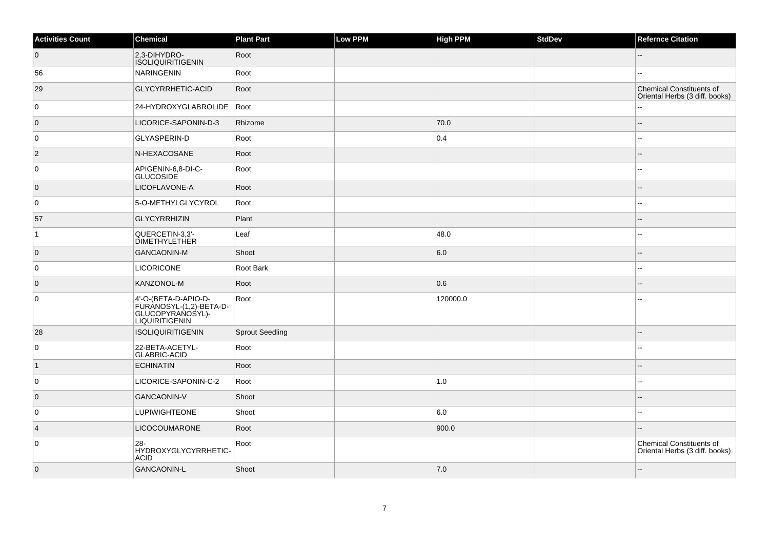| <b>Activities Count</b> | <b>Chemical</b>                                                                       | <b>Plant Part</b>      | Low PPM | <b>High PPM</b> | <b>StdDev</b> | <b>Refernce Citation</b>                                   |
|-------------------------|---------------------------------------------------------------------------------------|------------------------|---------|-----------------|---------------|------------------------------------------------------------|
| $\overline{0}$          | 2,3-DIHYDRO-<br><b>ISOLIQUIRITIGENIN</b>                                              | Root                   |         |                 |               | --                                                         |
| 56                      | <b>NARINGENIN</b>                                                                     | Root                   |         |                 |               |                                                            |
| 29                      | GLYCYRRHETIC-ACID                                                                     | Root                   |         |                 |               | Chemical Constituents of<br>Oriental Herbs (3 diff. books) |
| 0                       | 24-HYDROXYGLABROLIDE                                                                  | Root                   |         |                 |               |                                                            |
| $\overline{0}$          | LICORICE-SAPONIN-D-3                                                                  | Rhizome                |         | 70.0            |               |                                                            |
| 0                       | GLYASPERIN-D                                                                          | Root                   |         | 0.4             |               |                                                            |
| $\vert$ 2               | N-HEXACOSANE                                                                          | Root                   |         |                 |               |                                                            |
| 0                       | APIGENIN-6,8-DI-C-<br><b>GLUCOSIDE</b>                                                | Root                   |         |                 |               |                                                            |
| $\overline{0}$          | LICOFLAVONE-A                                                                         | Root                   |         |                 |               |                                                            |
| 0                       | 5-O-METHYLGLYCYROL                                                                    | Root                   |         |                 |               | ۵.                                                         |
| 57                      | <b>GLYCYRRHIZIN</b>                                                                   | Plant                  |         |                 |               |                                                            |
| $\mathbf{1}$            | QUERCETIN-3,3'-<br><b>DIMETHYLETHER</b>                                               | Leaf                   |         | 48.0            |               | --                                                         |
| $\overline{0}$          | <b>GANCAONIN-M</b>                                                                    | Shoot                  |         | 6.0             |               |                                                            |
| 0                       | <b>LICORICONE</b>                                                                     | Root Bark              |         |                 |               | $\overline{a}$                                             |
| $\overline{0}$          | KANZONOL-M                                                                            | Root                   |         | 0.6             |               |                                                            |
| $\mathbf 0$             | 4'-O-(BETA-D-APIO-D-<br>FURANOSYL-(1,2)-BETA-D-<br>GLUCOPYRANOSYL)-<br>LIQUIRITIGENIN | Root                   |         | 120000.0        |               |                                                            |
| 28                      | <b>ISOLIQUIRITIGENIN</b>                                                              | <b>Sprout Seedling</b> |         |                 |               |                                                            |
| $\mathbf 0$             | 22-BETA-ACETYL-<br><b>GLABRIC-ACID</b>                                                | Root                   |         |                 |               |                                                            |
| $\vert$ 1               | <b>ECHINATIN</b>                                                                      | Root                   |         |                 |               |                                                            |
| 0                       | LICORICE-SAPONIN-C-2                                                                  | Root                   |         | 1.0             |               | $\overline{a}$                                             |
| $\overline{0}$          | <b>GANCAONIN-V</b>                                                                    | Shoot                  |         |                 |               |                                                            |
| $\mathbf 0$             | <b>LUPIWIGHTEONE</b>                                                                  | Shoot                  |         | 6.0             |               | --                                                         |
| $\vert$ 4               | <b>LICOCOUMARONE</b>                                                                  | Root                   |         | 900.0           |               |                                                            |
| 0                       | $28 -$<br>HYDROXYGLYCYRRHETIC-<br><b>ACID</b>                                         | Root                   |         |                 |               | Chemical Constituents of<br>Oriental Herbs (3 diff. books) |
| $\overline{0}$          | <b>GANCAONIN-L</b>                                                                    | Shoot                  |         | 7.0             |               |                                                            |